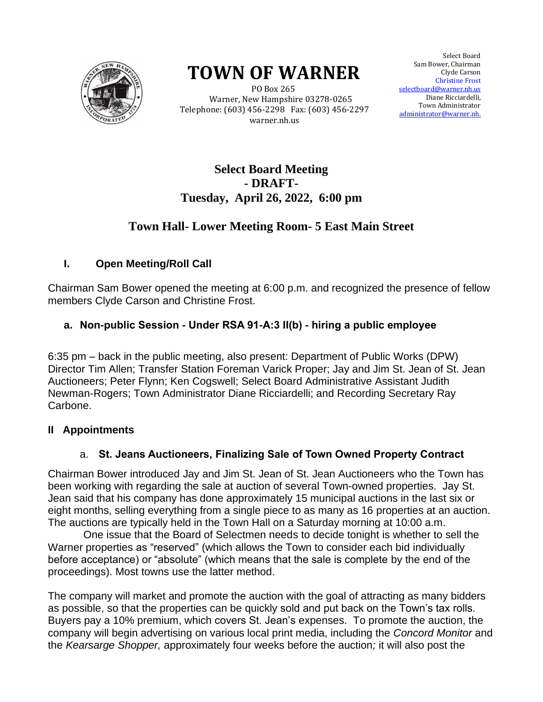

# **TOWN OF WARNER**

 PO Box 265 Warner, New Hampshire 03278-0265 Telephone: (603) 456-2298 Fax: (603) 456-2297 warner.nh.us

Select Board Sam Bower, Chairman Clyde Carson Christine Christine Frost selectboard@warner.nh.us Diane Ricciardelli, Town Administrator <u>istrator@warner.nh.</u> Select Board<br>Bower, Chairman<br>Clyde Carson Town Administrator<br>administrator@warner.nh.

# **Select Board Meeting - DRAFT-Tuesday, April 26, 2022, 6:00 pm**

## **Town Hall- Lower Meeting Room- 5 East Main Street**

## **I. Open Meeting/Roll Call**

Chairman Sam Bower opened the meeting at 6:00 p.m. and recognized the presence of fellow members Clyde Carson and Christine Frost.

## **a. Non-public Session - Under RSA 91-A:3 II(b) - hiring a public employee**

6:35 pm – back in the public meeting, also present: Department of Public Works (DPW) Director Tim Allen; Transfer Station Foreman Varick Proper; Jay and Jim St. Jean of St. Jean Auctioneers; Peter Flynn; Ken Cogswell; Select Board Administrative Assistant Judith Newman-Rogers; Town Administrator Diane Ricciardelli; and Recording Secretary Ray Carbone.

#### **II Appointments**

#### a. **St. Jeans Auctioneers, Finalizing Sale of Town Owned Property Contract**

Chairman Bower introduced Jay and Jim St. Jean of St. Jean Auctioneers who the Town has been working with regarding the sale at auction of several Town-owned properties. Jay St. Jean said that his company has done approximately 15 municipal auctions in the last six or eight months, selling everything from a single piece to as many as 16 properties at an auction. The auctions are typically held in the Town Hall on a Saturday morning at 10:00 a.m.

 One issue that the Board of Selectmen needs to decide tonight is whether to sell the Warner properties as "reserved" (which allows the Town to consider each bid individually before acceptance) or "absolute" (which means that the sale is complete by the end of the proceedings). Most towns use the latter method.

The company will market and promote the auction with the goal of attracting as many bidders as possible, so that the properties can be quickly sold and put back on the Town's tax rolls. Buyers pay a 10% premium, which covers St. Jean's expenses. To promote the auction, the company will begin advertising on various local print media, including the *Concord Monitor* and the *Kearsarge Shopper,* approximately four weeks before the auction*;* it will also post the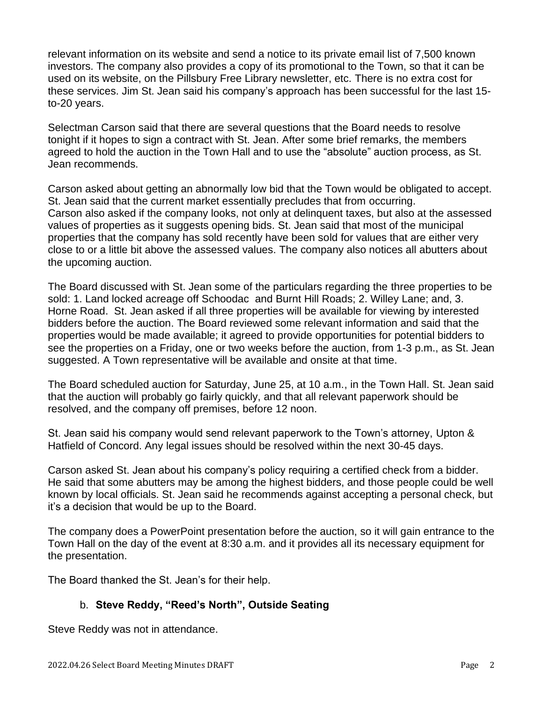relevant information on its website and send a notice to its private email list of 7,500 known investors. The company also provides a copy of its promotional to the Town, so that it can be used on its website, on the Pillsbury Free Library newsletter, etc. There is no extra cost for these services. Jim St. Jean said his company's approach has been successful for the last 15 to-20 years.

Selectman Carson said that there are several questions that the Board needs to resolve tonight if it hopes to sign a contract with St. Jean. After some brief remarks, the members agreed to hold the auction in the Town Hall and to use the "absolute" auction process, as St. Jean recommends.

Carson asked about getting an abnormally low bid that the Town would be obligated to accept. St. Jean said that the current market essentially precludes that from occurring. Carson also asked if the company looks, not only at delinquent taxes, but also at the assessed values of properties as it suggests opening bids. St. Jean said that most of the municipal properties that the company has sold recently have been sold for values that are either very close to or a little bit above the assessed values. The company also notices all abutters about the upcoming auction.

The Board discussed with St. Jean some of the particulars regarding the three properties to be sold: 1. Land locked acreage off Schoodac and Burnt Hill Roads; 2. Willey Lane; and, 3. Horne Road. St. Jean asked if all three properties will be available for viewing by interested bidders before the auction. The Board reviewed some relevant information and said that the properties would be made available; it agreed to provide opportunities for potential bidders to see the properties on a Friday, one or two weeks before the auction, from 1-3 p.m., as St. Jean suggested. A Town representative will be available and onsite at that time.

The Board scheduled auction for Saturday, June 25, at 10 a.m., in the Town Hall. St. Jean said that the auction will probably go fairly quickly, and that all relevant paperwork should be resolved, and the company off premises, before 12 noon.

St. Jean said his company would send relevant paperwork to the Town's attorney, Upton & Hatfield of Concord. Any legal issues should be resolved within the next 30-45 days.

Carson asked St. Jean about his company's policy requiring a certified check from a bidder. He said that some abutters may be among the highest bidders, and those people could be well known by local officials. St. Jean said he recommends against accepting a personal check, but it's a decision that would be up to the Board.

The company does a PowerPoint presentation before the auction, so it will gain entrance to the Town Hall on the day of the event at 8:30 a.m. and it provides all its necessary equipment for the presentation.

The Board thanked the St. Jean's for their help.

## b. **Steve Reddy, "Reed's North", Outside Seating**

Steve Reddy was not in attendance.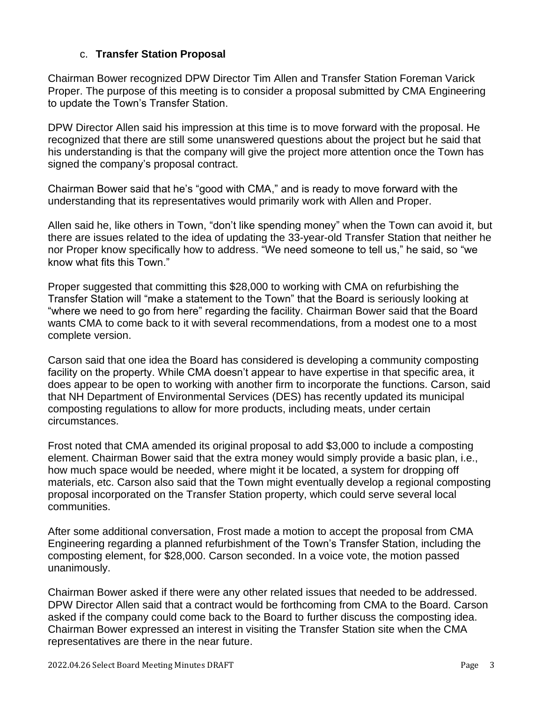#### c. **Transfer Station Proposal**

Chairman Bower recognized DPW Director Tim Allen and Transfer Station Foreman Varick Proper. The purpose of this meeting is to consider a proposal submitted by CMA Engineering to update the Town's Transfer Station.

DPW Director Allen said his impression at this time is to move forward with the proposal. He recognized that there are still some unanswered questions about the project but he said that his understanding is that the company will give the project more attention once the Town has signed the company's proposal contract.

Chairman Bower said that he's "good with CMA," and is ready to move forward with the understanding that its representatives would primarily work with Allen and Proper.

Allen said he, like others in Town, "don't like spending money" when the Town can avoid it, but there are issues related to the idea of updating the 33-year-old Transfer Station that neither he nor Proper know specifically how to address. "We need someone to tell us," he said, so "we know what fits this Town."

Proper suggested that committing this \$28,000 to working with CMA on refurbishing the Transfer Station will "make a statement to the Town" that the Board is seriously looking at "where we need to go from here" regarding the facility. Chairman Bower said that the Board wants CMA to come back to it with several recommendations, from a modest one to a most complete version.

Carson said that one idea the Board has considered is developing a community composting facility on the property. While CMA doesn't appear to have expertise in that specific area, it does appear to be open to working with another firm to incorporate the functions. Carson, said that NH Department of Environmental Services (DES) has recently updated its municipal composting regulations to allow for more products, including meats, under certain circumstances.

Frost noted that CMA amended its original proposal to add \$3,000 to include a composting element. Chairman Bower said that the extra money would simply provide a basic plan, i.e., how much space would be needed, where might it be located, a system for dropping off materials, etc. Carson also said that the Town might eventually develop a regional composting proposal incorporated on the Transfer Station property, which could serve several local communities.

After some additional conversation, Frost made a motion to accept the proposal from CMA Engineering regarding a planned refurbishment of the Town's Transfer Station, including the composting element, for \$28,000. Carson seconded. In a voice vote, the motion passed unanimously.

Chairman Bower asked if there were any other related issues that needed to be addressed. DPW Director Allen said that a contract would be forthcoming from CMA to the Board. Carson asked if the company could come back to the Board to further discuss the composting idea. Chairman Bower expressed an interest in visiting the Transfer Station site when the CMA representatives are there in the near future.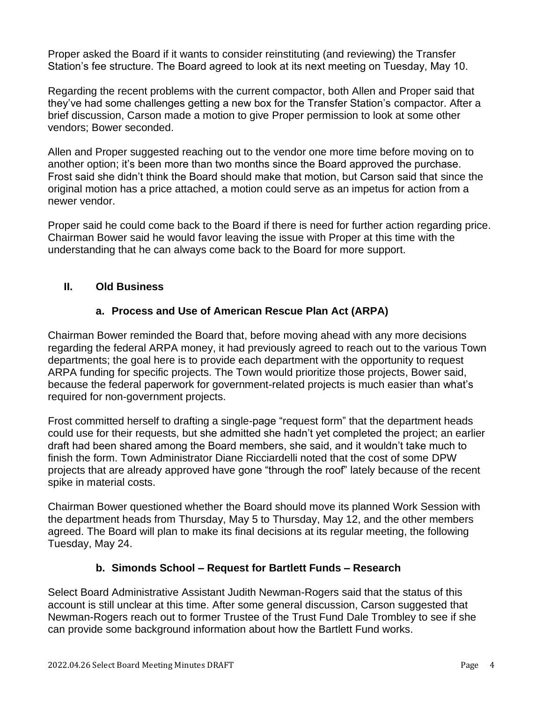Proper asked the Board if it wants to consider reinstituting (and reviewing) the Transfer Station's fee structure. The Board agreed to look at its next meeting on Tuesday, May 10.

Regarding the recent problems with the current compactor, both Allen and Proper said that they've had some challenges getting a new box for the Transfer Station's compactor. After a brief discussion, Carson made a motion to give Proper permission to look at some other vendors; Bower seconded.

Allen and Proper suggested reaching out to the vendor one more time before moving on to another option; it's been more than two months since the Board approved the purchase. Frost said she didn't think the Board should make that motion, but Carson said that since the original motion has a price attached, a motion could serve as an impetus for action from a newer vendor.

Proper said he could come back to the Board if there is need for further action regarding price. Chairman Bower said he would favor leaving the issue with Proper at this time with the understanding that he can always come back to the Board for more support.

#### **II. Old Business**

#### **a. Process and Use of American Rescue Plan Act (ARPA)**

Chairman Bower reminded the Board that, before moving ahead with any more decisions regarding the federal ARPA money, it had previously agreed to reach out to the various Town departments; the goal here is to provide each department with the opportunity to request ARPA funding for specific projects. The Town would prioritize those projects, Bower said, because the federal paperwork for government-related projects is much easier than what's required for non-government projects.

Frost committed herself to drafting a single-page "request form" that the department heads could use for their requests, but she admitted she hadn't yet completed the project; an earlier draft had been shared among the Board members, she said, and it wouldn't take much to finish the form. Town Administrator Diane Ricciardelli noted that the cost of some DPW projects that are already approved have gone "through the roof" lately because of the recent spike in material costs.

Chairman Bower questioned whether the Board should move its planned Work Session with the department heads from Thursday, May 5 to Thursday, May 12, and the other members agreed. The Board will plan to make its final decisions at its regular meeting, the following Tuesday, May 24.

#### **b. Simonds School – Request for Bartlett Funds – Research**

Select Board Administrative Assistant Judith Newman-Rogers said that the status of this account is still unclear at this time. After some general discussion, Carson suggested that Newman-Rogers reach out to former Trustee of the Trust Fund Dale Trombley to see if she can provide some background information about how the Bartlett Fund works.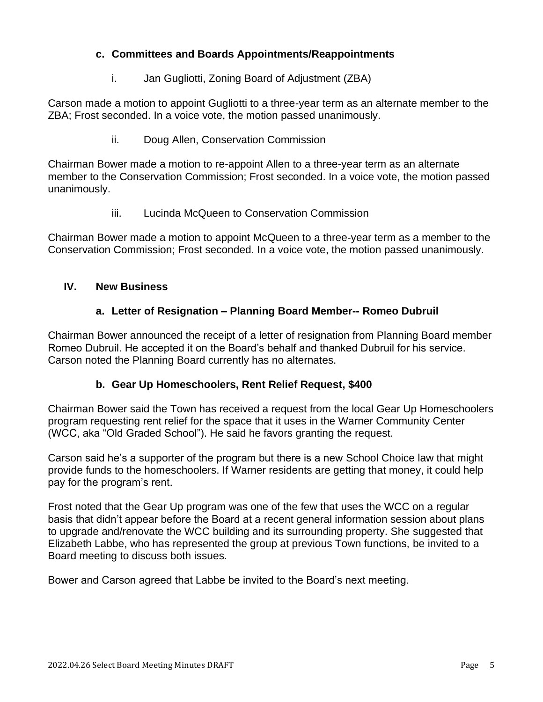#### **c. Committees and Boards Appointments/Reappointments**

i. Jan Gugliotti, Zoning Board of Adjustment (ZBA)

Carson made a motion to appoint Gugliotti to a three-year term as an alternate member to the ZBA; Frost seconded. In a voice vote, the motion passed unanimously.

ii. Doug Allen, Conservation Commission

Chairman Bower made a motion to re-appoint Allen to a three-year term as an alternate member to the Conservation Commission; Frost seconded. In a voice vote, the motion passed unanimously.

iii. Lucinda McQueen to Conservation Commission

Chairman Bower made a motion to appoint McQueen to a three-year term as a member to the Conservation Commission; Frost seconded. In a voice vote, the motion passed unanimously.

#### **IV. New Business**

#### **a. Letter of Resignation – Planning Board Member-- Romeo Dubruil**

Chairman Bower announced the receipt of a letter of resignation from Planning Board member Romeo Dubruil. He accepted it on the Board's behalf and thanked Dubruil for his service. Carson noted the Planning Board currently has no alternates.

#### **b. Gear Up Homeschoolers, Rent Relief Request, \$400**

Chairman Bower said the Town has received a request from the local Gear Up Homeschoolers program requesting rent relief for the space that it uses in the Warner Community Center (WCC, aka "Old Graded School"). He said he favors granting the request.

Carson said he's a supporter of the program but there is a new School Choice law that might provide funds to the homeschoolers. If Warner residents are getting that money, it could help pay for the program's rent.

Frost noted that the Gear Up program was one of the few that uses the WCC on a regular basis that didn't appear before the Board at a recent general information session about plans to upgrade and/renovate the WCC building and its surrounding property. She suggested that Elizabeth Labbe, who has represented the group at previous Town functions, be invited to a Board meeting to discuss both issues.

Bower and Carson agreed that Labbe be invited to the Board's next meeting.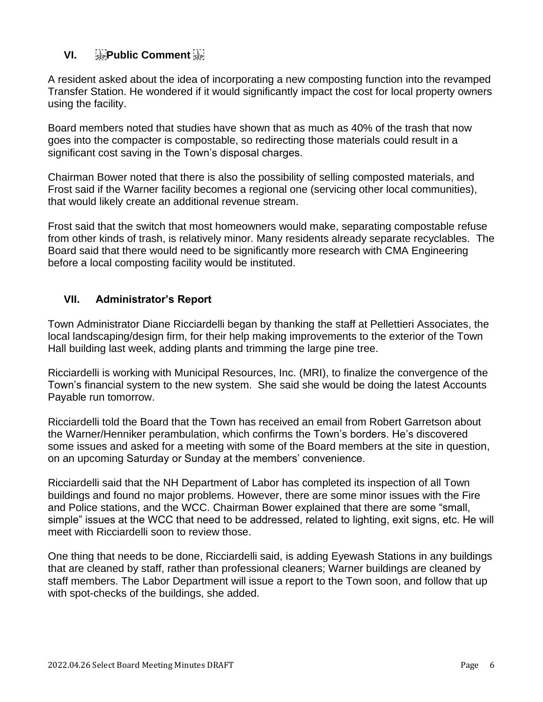## **VI.** *SEP***Public Comment** *SEP*

A resident asked about the idea of incorporating a new composting function into the revamped Transfer Station. He wondered if it would significantly impact the cost for local property owners using the facility.

Board members noted that studies have shown that as much as 40% of the trash that now goes into the compacter is compostable, so redirecting those materials could result in a significant cost saving in the Town's disposal charges.

Chairman Bower noted that there is also the possibility of selling composted materials, and Frost said if the Warner facility becomes a regional one (servicing other local communities), that would likely create an additional revenue stream.

Frost said that the switch that most homeowners would make, separating compostable refuse from other kinds of trash, is relatively minor. Many residents already separate recyclables. The Board said that there would need to be significantly more research with CMA Engineering before a local composting facility would be instituted.

#### **VII. Administrator's Report**

Town Administrator Diane Ricciardelli began by thanking the staff at Pellettieri Associates, the local landscaping/design firm, for their help making improvements to the exterior of the Town Hall building last week, adding plants and trimming the large pine tree.

Ricciardelli is working with Municipal Resources, Inc. (MRI), to finalize the convergence of the Town's financial system to the new system. She said she would be doing the latest Accounts Payable run tomorrow.

Ricciardelli told the Board that the Town has received an email from Robert Garretson about the Warner/Henniker perambulation, which confirms the Town's borders. He's discovered some issues and asked for a meeting with some of the Board members at the site in question, on an upcoming Saturday or Sunday at the members' convenience.

Ricciardelli said that the NH Department of Labor has completed its inspection of all Town buildings and found no major problems. However, there are some minor issues with the Fire and Police stations, and the WCC. Chairman Bower explained that there are some "small, simple" issues at the WCC that need to be addressed, related to lighting, exit signs, etc. He will meet with Ricciardelli soon to review those.

One thing that needs to be done, Ricciardelli said, is adding Eyewash Stations in any buildings that are cleaned by staff, rather than professional cleaners; Warner buildings are cleaned by staff members. The Labor Department will issue a report to the Town soon, and follow that up with spot-checks of the buildings, she added.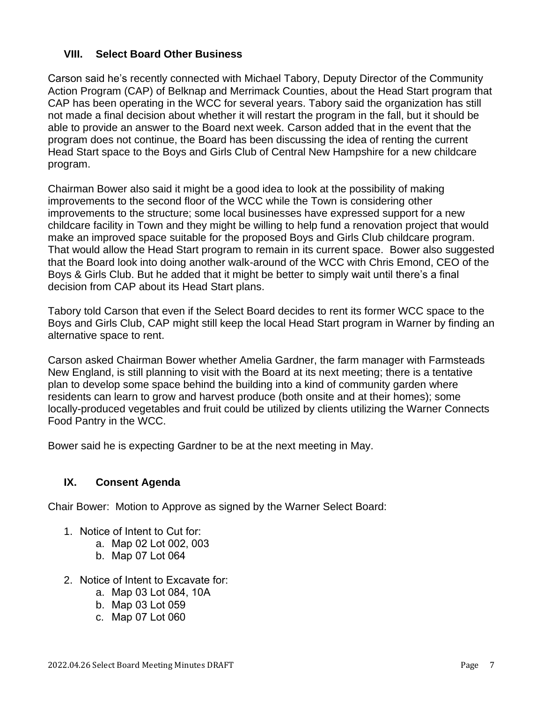#### **VIII. Select Board Other Business**

Carson said he's recently connected with Michael Tabory, Deputy Director of the Community Action Program (CAP) of Belknap and Merrimack Counties, about the Head Start program that CAP has been operating in the WCC for several years. Tabory said the organization has still not made a final decision about whether it will restart the program in the fall, but it should be able to provide an answer to the Board next week. Carson added that in the event that the program does not continue, the Board has been discussing the idea of renting the current Head Start space to the Boys and Girls Club of Central New Hampshire for a new childcare program.

Chairman Bower also said it might be a good idea to look at the possibility of making improvements to the second floor of the WCC while the Town is considering other improvements to the structure; some local businesses have expressed support for a new childcare facility in Town and they might be willing to help fund a renovation project that would make an improved space suitable for the proposed Boys and Girls Club childcare program. That would allow the Head Start program to remain in its current space. Bower also suggested that the Board look into doing another walk-around of the WCC with Chris Emond, CEO of the Boys & Girls Club. But he added that it might be better to simply wait until there's a final decision from CAP about its Head Start plans.

Tabory told Carson that even if the Select Board decides to rent its former WCC space to the Boys and Girls Club, CAP might still keep the local Head Start program in Warner by finding an alternative space to rent.

Carson asked Chairman Bower whether Amelia Gardner, the farm manager with Farmsteads New England, is still planning to visit with the Board at its next meeting; there is a tentative plan to develop some space behind the building into a kind of community garden where residents can learn to grow and harvest produce (both onsite and at their homes); some locally-produced vegetables and fruit could be utilized by clients utilizing the Warner Connects Food Pantry in the WCC.

Bower said he is expecting Gardner to be at the next meeting in May.

#### **IX. Consent Agenda**

Chair Bower: Motion to Approve as signed by the Warner Select Board:

- 1. Notice of Intent to Cut for:
	- a. Map 02 Lot 002, 003
	- b. Map 07 Lot 064
- 2. Notice of Intent to Excavate for:
	- a. Map 03 Lot 084, 10A
	- b. Map 03 Lot 059
	- c. Map 07 Lot 060